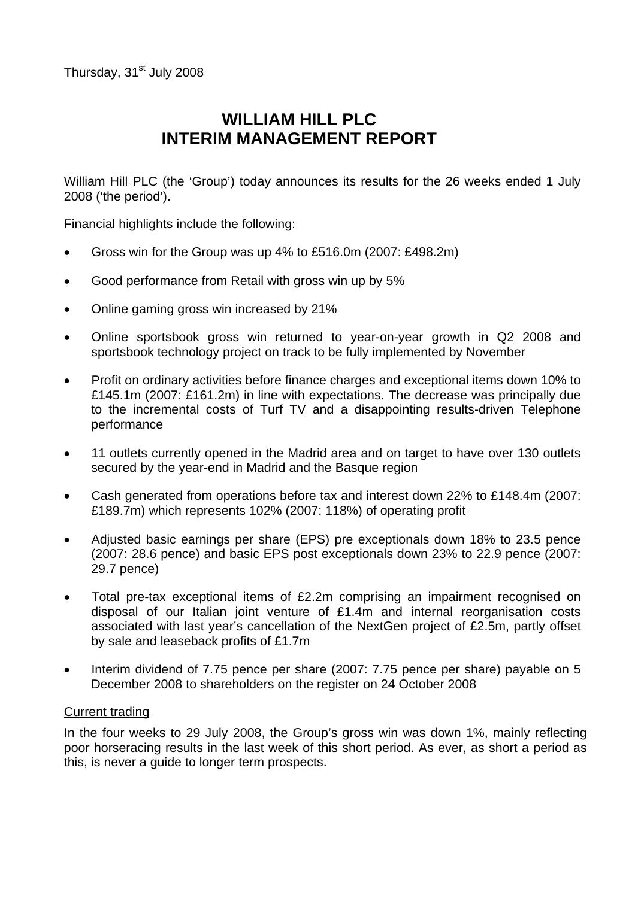# **WILLIAM HILL PLC INTERIM MANAGEMENT REPORT**

William Hill PLC (the 'Group') today announces its results for the 26 weeks ended 1 July 2008 ('the period').

Financial highlights include the following:

- Gross win for the Group was up 4% to £516.0m (2007: £498.2m)
- Good performance from Retail with gross win up by 5%
- Online gaming gross win increased by 21%
- Online sportsbook gross win returned to year-on-year growth in Q2 2008 and sportsbook technology project on track to be fully implemented by November
- Profit on ordinary activities before finance charges and exceptional items down 10% to £145.1m (2007: £161.2m) in line with expectations. The decrease was principally due to the incremental costs of Turf TV and a disappointing results-driven Telephone performance
- 11 outlets currently opened in the Madrid area and on target to have over 130 outlets secured by the year-end in Madrid and the Basque region
- Cash generated from operations before tax and interest down 22% to £148.4m (2007: £189.7m) which represents 102% (2007: 118%) of operating profit
- Adjusted basic earnings per share (EPS) pre exceptionals down 18% to 23.5 pence (2007: 28.6 pence) and basic EPS post exceptionals down 23% to 22.9 pence (2007: 29.7 pence)
- Total pre-tax exceptional items of £2.2m comprising an impairment recognised on disposal of our Italian joint venture of £1.4m and internal reorganisation costs associated with last year's cancellation of the NextGen project of £2.5m, partly offset by sale and leaseback profits of £1.7m
- Interim dividend of 7.75 pence per share (2007: 7.75 pence per share) payable on 5 December 2008 to shareholders on the register on 24 October 2008

### Current trading

In the four weeks to 29 July 2008, the Group's gross win was down 1%, mainly reflecting poor horseracing results in the last week of this short period. As ever, as short a period as this, is never a guide to longer term prospects.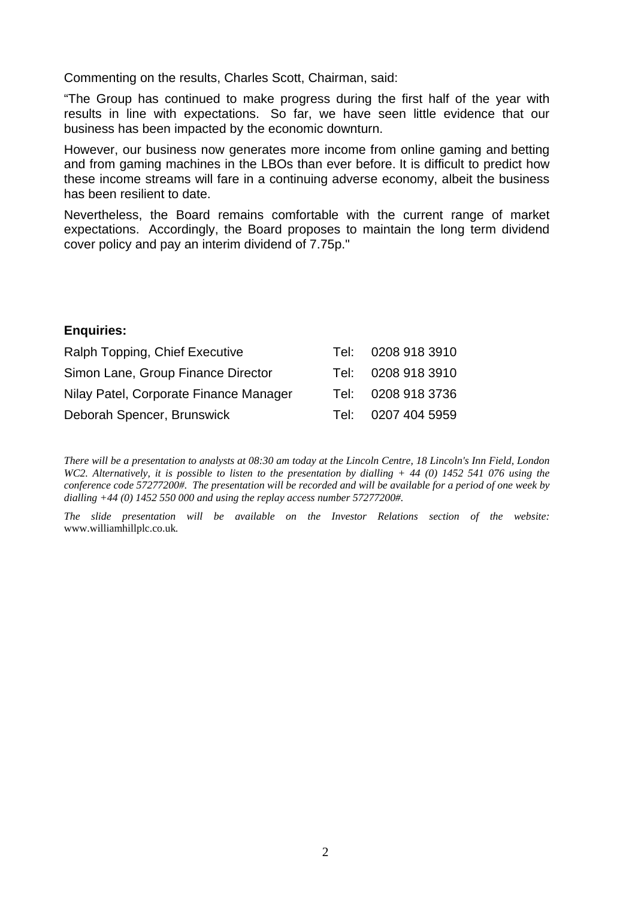Commenting on the results, Charles Scott, Chairman, said:

"The Group has continued to make progress during the first half of the year with results in line with expectations. So far, we have seen little evidence that our business has been impacted by the economic downturn.

However, our business now generates more income from online gaming and betting and from gaming machines in the LBOs than ever before. It is difficult to predict how these income streams will fare in a continuing adverse economy, albeit the business has been resilient to date.

Nevertheless, the Board remains comfortable with the current range of market expectations. Accordingly, the Board proposes to maintain the long term dividend cover policy and pay an interim dividend of 7.75p."

### **Enquiries:**

| Ralph Topping, Chief Executive         | Tel:   | 0208 918 3910      |
|----------------------------------------|--------|--------------------|
| Simon Lane, Group Finance Director     | Tel: I | 0208 918 3910      |
| Nilay Patel, Corporate Finance Manager |        | Tel: 0208 918 3736 |
| Deborah Spencer, Brunswick             | Tel:   | 0207 404 5959      |

*There will be a presentation to analysts at 08:30 am today at the Lincoln Centre, 18 Lincoln's Inn Field, London WC2. Alternatively, it is possible to listen to the presentation by dialling + 44 (0) 1452 541 076 using the conference code 57277200#. The presentation will be recorded and will be available for a period of one week by dialling +44 (0) 1452 550 000 and using the replay access number 57277200#.* 

*The slide presentation will be available on the Investor Relations section of the website:*  www.williamhillplc.co.uk*.*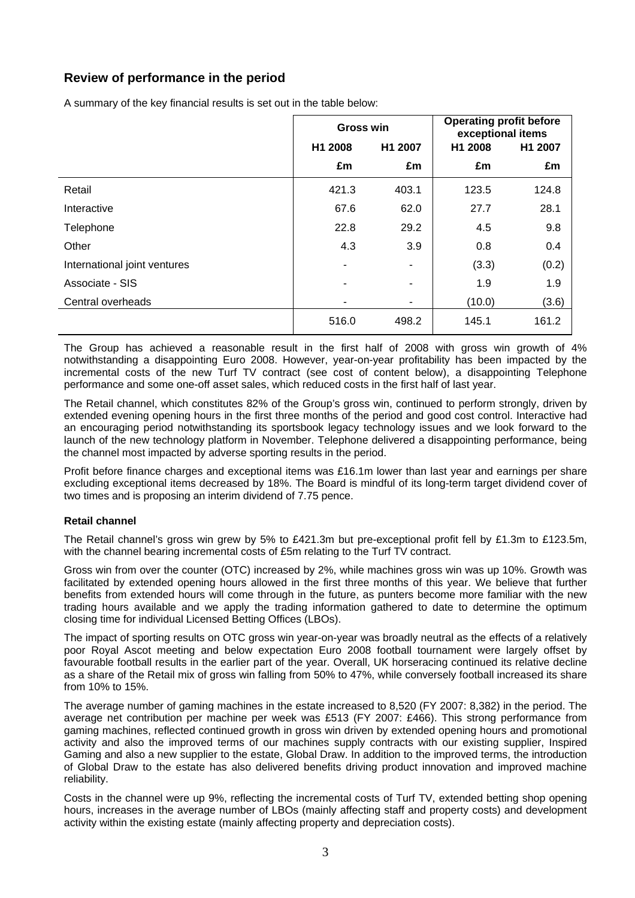# **Review of performance in the period**

A summary of the key financial results is set out in the table below:

|                              | <b>Gross win</b>   |                | <b>Operating profit before</b><br>exceptional items |         |  |
|------------------------------|--------------------|----------------|-----------------------------------------------------|---------|--|
|                              | H1 2008<br>H1 2007 |                | H1 2008                                             | H1 2007 |  |
|                              | £m                 | £m             | £m                                                  | £m      |  |
| Retail                       | 421.3              | 403.1          | 123.5                                               | 124.8   |  |
| Interactive                  | 67.6               | 62.0           | 27.7                                                | 28.1    |  |
| Telephone                    | 22.8               | 29.2           | 4.5                                                 | 9.8     |  |
| Other                        | 4.3                | 3.9            | 0.8                                                 | 0.4     |  |
| International joint ventures | ٠                  |                | (3.3)                                               | (0.2)   |  |
| Associate - SIS              | ۰                  | $\blacksquare$ | 1.9                                                 | 1.9     |  |
| Central overheads            | ۰                  | ۰              | (10.0)                                              | (3.6)   |  |
|                              | 516.0              | 498.2          | 145.1                                               | 161.2   |  |

The Group has achieved a reasonable result in the first half of 2008 with gross win growth of 4% notwithstanding a disappointing Euro 2008. However, year-on-year profitability has been impacted by the incremental costs of the new Turf TV contract (see cost of content below), a disappointing Telephone performance and some one-off asset sales, which reduced costs in the first half of last year.

The Retail channel, which constitutes 82% of the Group's gross win, continued to perform strongly, driven by extended evening opening hours in the first three months of the period and good cost control. Interactive had an encouraging period notwithstanding its sportsbook legacy technology issues and we look forward to the launch of the new technology platform in November. Telephone delivered a disappointing performance, being the channel most impacted by adverse sporting results in the period.

Profit before finance charges and exceptional items was £16.1m lower than last year and earnings per share excluding exceptional items decreased by 18%. The Board is mindful of its long-term target dividend cover of two times and is proposing an interim dividend of 7.75 pence.

### **Retail channel**

The Retail channel's gross win grew by 5% to £421.3m but pre-exceptional profit fell by £1.3m to £123.5m, with the channel bearing incremental costs of £5m relating to the Turf TV contract.

Gross win from over the counter (OTC) increased by 2%, while machines gross win was up 10%. Growth was facilitated by extended opening hours allowed in the first three months of this year. We believe that further benefits from extended hours will come through in the future, as punters become more familiar with the new trading hours available and we apply the trading information gathered to date to determine the optimum closing time for individual Licensed Betting Offices (LBOs).

The impact of sporting results on OTC gross win year-on-year was broadly neutral as the effects of a relatively poor Royal Ascot meeting and below expectation Euro 2008 football tournament were largely offset by favourable football results in the earlier part of the year. Overall, UK horseracing continued its relative decline as a share of the Retail mix of gross win falling from 50% to 47%, while conversely football increased its share from 10% to 15%.

The average number of gaming machines in the estate increased to 8,520 (FY 2007: 8,382) in the period. The average net contribution per machine per week was £513 (FY 2007: £466). This strong performance from gaming machines, reflected continued growth in gross win driven by extended opening hours and promotional activity and also the improved terms of our machines supply contracts with our existing supplier, Inspired Gaming and also a new supplier to the estate, Global Draw. In addition to the improved terms, the introduction of Global Draw to the estate has also delivered benefits driving product innovation and improved machine reliability.

Costs in the channel were up 9%, reflecting the incremental costs of Turf TV, extended betting shop opening hours, increases in the average number of LBOs (mainly affecting staff and property costs) and development activity within the existing estate (mainly affecting property and depreciation costs).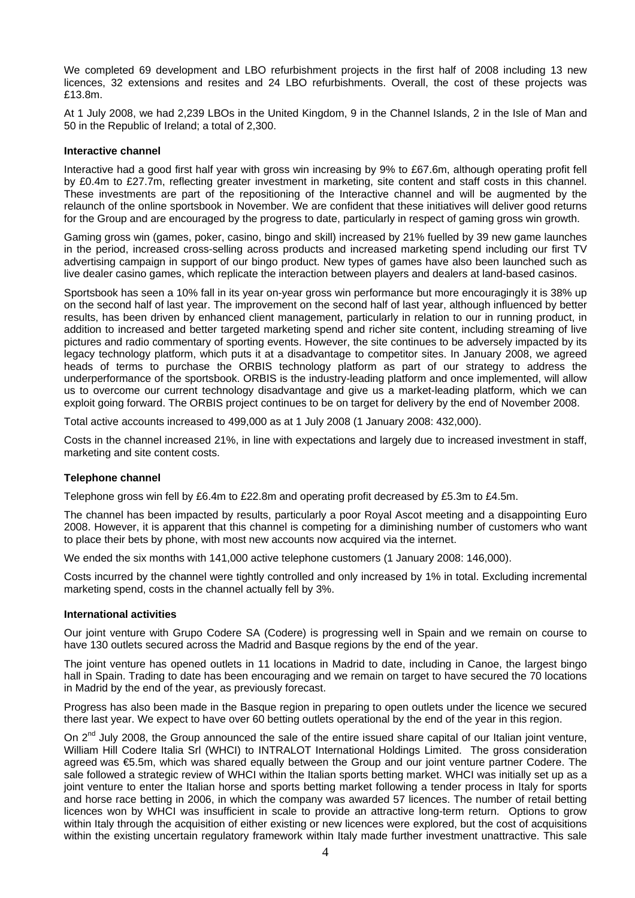We completed 69 development and LBO refurbishment projects in the first half of 2008 including 13 new licences, 32 extensions and resites and 24 LBO refurbishments. Overall, the cost of these projects was £13.8m.

At 1 July 2008, we had 2,239 LBOs in the United Kingdom, 9 in the Channel Islands, 2 in the Isle of Man and 50 in the Republic of Ireland; a total of 2,300.

#### **Interactive channel**

Interactive had a good first half year with gross win increasing by 9% to £67.6m, although operating profit fell by £0.4m to £27.7m, reflecting greater investment in marketing, site content and staff costs in this channel. These investments are part of the repositioning of the Interactive channel and will be augmented by the relaunch of the online sportsbook in November. We are confident that these initiatives will deliver good returns for the Group and are encouraged by the progress to date, particularly in respect of gaming gross win growth.

Gaming gross win (games, poker, casino, bingo and skill) increased by 21% fuelled by 39 new game launches in the period, increased cross-selling across products and increased marketing spend including our first TV advertising campaign in support of our bingo product. New types of games have also been launched such as live dealer casino games, which replicate the interaction between players and dealers at land-based casinos.

Sportsbook has seen a 10% fall in its year on-year gross win performance but more encouragingly it is 38% up on the second half of last year. The improvement on the second half of last year, although influenced by better results, has been driven by enhanced client management, particularly in relation to our in running product, in addition to increased and better targeted marketing spend and richer site content, including streaming of live pictures and radio commentary of sporting events. However, the site continues to be adversely impacted by its legacy technology platform, which puts it at a disadvantage to competitor sites. In January 2008, we agreed heads of terms to purchase the ORBIS technology platform as part of our strategy to address the underperformance of the sportsbook. ORBIS is the industry-leading platform and once implemented, will allow us to overcome our current technology disadvantage and give us a market-leading platform, which we can exploit going forward. The ORBIS project continues to be on target for delivery by the end of November 2008.

Total active accounts increased to 499,000 as at 1 July 2008 (1 January 2008: 432,000).

Costs in the channel increased 21%, in line with expectations and largely due to increased investment in staff, marketing and site content costs.

#### **Telephone channel**

Telephone gross win fell by £6.4m to £22.8m and operating profit decreased by £5.3m to £4.5m.

The channel has been impacted by results, particularly a poor Royal Ascot meeting and a disappointing Euro 2008. However, it is apparent that this channel is competing for a diminishing number of customers who want to place their bets by phone, with most new accounts now acquired via the internet.

We ended the six months with 141,000 active telephone customers (1 January 2008: 146,000).

Costs incurred by the channel were tightly controlled and only increased by 1% in total. Excluding incremental marketing spend, costs in the channel actually fell by 3%.

#### **International activities**

Our joint venture with Grupo Codere SA (Codere) is progressing well in Spain and we remain on course to have 130 outlets secured across the Madrid and Basque regions by the end of the year.

The joint venture has opened outlets in 11 locations in Madrid to date, including in Canoe, the largest bingo hall in Spain. Trading to date has been encouraging and we remain on target to have secured the 70 locations in Madrid by the end of the year, as previously forecast.

Progress has also been made in the Basque region in preparing to open outlets under the licence we secured there last year. We expect to have over 60 betting outlets operational by the end of the year in this region.

On  $2^{nd}$  July 2008, the Group announced the sale of the entire issued share capital of our Italian joint venture, William Hill Codere Italia Srl (WHCI) to INTRALOT International Holdings Limited. The gross consideration agreed was €5.5m, which was shared equally between the Group and our joint venture partner Codere. The sale followed a strategic review of WHCI within the Italian sports betting market. WHCI was initially set up as a joint venture to enter the Italian horse and sports betting market following a tender process in Italy for sports and horse race betting in 2006, in which the company was awarded 57 licences. The number of retail betting licences won by WHCI was insufficient in scale to provide an attractive long-term return. Options to grow within Italy through the acquisition of either existing or new licences were explored, but the cost of acquisitions within the existing uncertain regulatory framework within Italy made further investment unattractive. This sale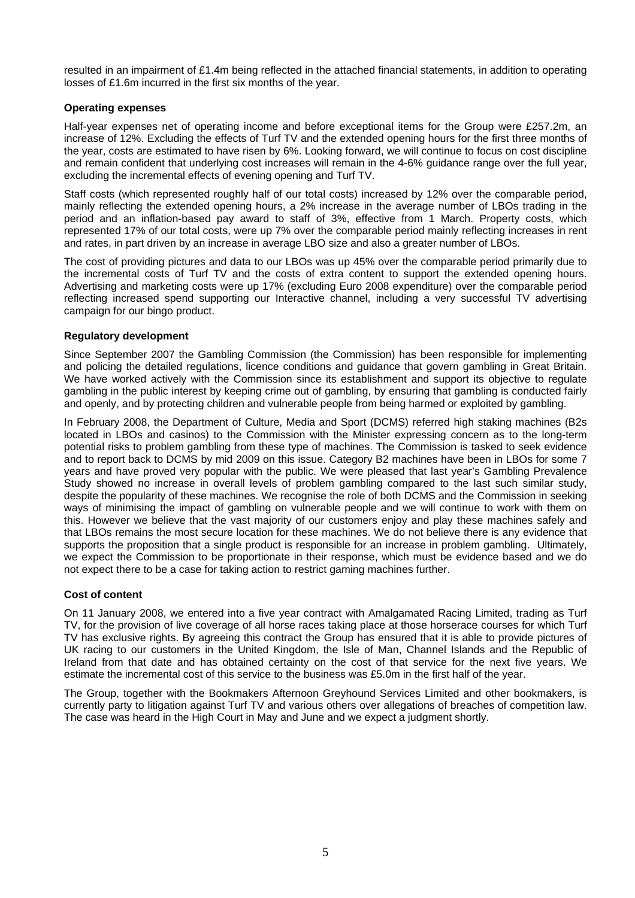resulted in an impairment of £1.4m being reflected in the attached financial statements, in addition to operating losses of £1.6m incurred in the first six months of the year.

#### **Operating expenses**

Half-year expenses net of operating income and before exceptional items for the Group were £257.2m, an increase of 12%. Excluding the effects of Turf TV and the extended opening hours for the first three months of the year, costs are estimated to have risen by 6%. Looking forward, we will continue to focus on cost discipline and remain confident that underlying cost increases will remain in the 4-6% guidance range over the full year, excluding the incremental effects of evening opening and Turf TV.

Staff costs (which represented roughly half of our total costs) increased by 12% over the comparable period, mainly reflecting the extended opening hours, a 2% increase in the average number of LBOs trading in the period and an inflation-based pay award to staff of 3%, effective from 1 March. Property costs, which represented 17% of our total costs, were up 7% over the comparable period mainly reflecting increases in rent and rates, in part driven by an increase in average LBO size and also a greater number of LBOs.

The cost of providing pictures and data to our LBOs was up 45% over the comparable period primarily due to the incremental costs of Turf TV and the costs of extra content to support the extended opening hours. Advertising and marketing costs were up 17% (excluding Euro 2008 expenditure) over the comparable period reflecting increased spend supporting our Interactive channel, including a very successful TV advertising campaign for our bingo product.

#### **Regulatory development**

Since September 2007 the Gambling Commission (the Commission) has been responsible for implementing and policing the detailed regulations, licence conditions and guidance that govern gambling in Great Britain. We have worked actively with the Commission since its establishment and support its objective to regulate gambling in the public interest by keeping crime out of gambling, by ensuring that gambling is conducted fairly and openly, and by protecting children and vulnerable people from being harmed or exploited by gambling.

In February 2008, the Department of Culture, Media and Sport (DCMS) referred high staking machines (B2s located in LBOs and casinos) to the Commission with the Minister expressing concern as to the long-term potential risks to problem gambling from these type of machines. The Commission is tasked to seek evidence and to report back to DCMS by mid 2009 on this issue. Category B2 machines have been in LBOs for some 7 years and have proved very popular with the public. We were pleased that last year's Gambling Prevalence Study showed no increase in overall levels of problem gambling compared to the last such similar study, despite the popularity of these machines. We recognise the role of both DCMS and the Commission in seeking ways of minimising the impact of gambling on vulnerable people and we will continue to work with them on this. However we believe that the vast majority of our customers enjoy and play these machines safely and that LBOs remains the most secure location for these machines. We do not believe there is any evidence that supports the proposition that a single product is responsible for an increase in problem gambling. Ultimately, we expect the Commission to be proportionate in their response, which must be evidence based and we do not expect there to be a case for taking action to restrict gaming machines further.

### **Cost of content**

On 11 January 2008, we entered into a five year contract with Amalgamated Racing Limited, trading as Turf TV, for the provision of live coverage of all horse races taking place at those horserace courses for which Turf TV has exclusive rights. By agreeing this contract the Group has ensured that it is able to provide pictures of UK racing to our customers in the United Kingdom, the Isle of Man, Channel Islands and the Republic of Ireland from that date and has obtained certainty on the cost of that service for the next five years. We estimate the incremental cost of this service to the business was £5.0m in the first half of the year.

The Group, together with the Bookmakers Afternoon Greyhound Services Limited and other bookmakers, is currently party to litigation against Turf TV and various others over allegations of breaches of competition law. The case was heard in the High Court in May and June and we expect a judgment shortly.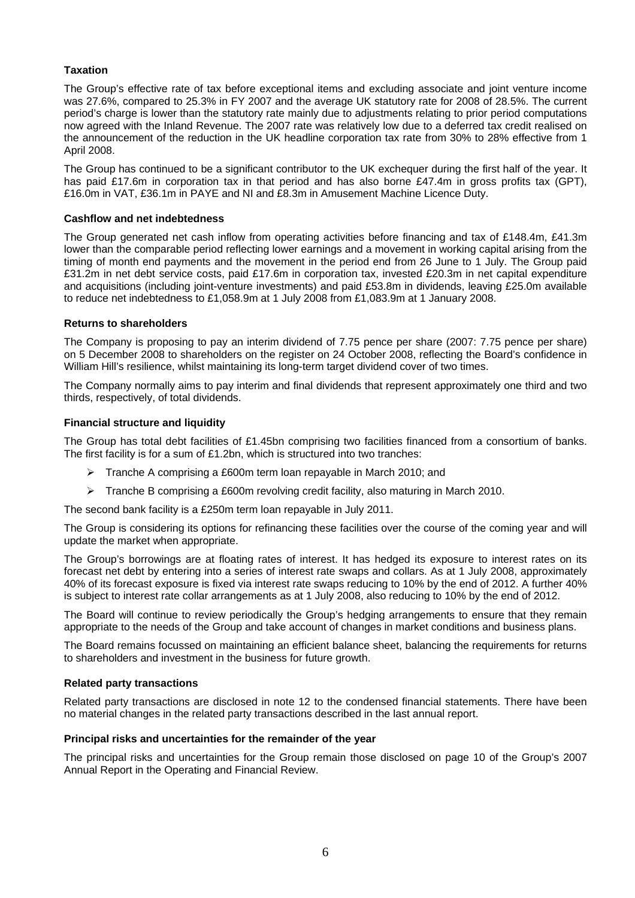### **Taxation**

The Group's effective rate of tax before exceptional items and excluding associate and joint venture income was 27.6%, compared to 25.3% in FY 2007 and the average UK statutory rate for 2008 of 28.5%. The current period's charge is lower than the statutory rate mainly due to adjustments relating to prior period computations now agreed with the Inland Revenue. The 2007 rate was relatively low due to a deferred tax credit realised on the announcement of the reduction in the UK headline corporation tax rate from 30% to 28% effective from 1 April 2008.

The Group has continued to be a significant contributor to the UK exchequer during the first half of the year. It has paid £17.6m in corporation tax in that period and has also borne £47.4m in gross profits tax (GPT), £16.0m in VAT, £36.1m in PAYE and NI and £8.3m in Amusement Machine Licence Duty.

### **Cashflow and net indebtedness**

The Group generated net cash inflow from operating activities before financing and tax of £148.4m, £41.3m lower than the comparable period reflecting lower earnings and a movement in working capital arising from the timing of month end payments and the movement in the period end from 26 June to 1 July. The Group paid £31.2m in net debt service costs, paid £17.6m in corporation tax, invested £20.3m in net capital expenditure and acquisitions (including joint-venture investments) and paid £53.8m in dividends, leaving £25.0m available to reduce net indebtedness to £1,058.9m at 1 July 2008 from £1,083.9m at 1 January 2008.

#### **Returns to shareholders**

The Company is proposing to pay an interim dividend of 7.75 pence per share (2007: 7.75 pence per share) on 5 December 2008 to shareholders on the register on 24 October 2008, reflecting the Board's confidence in William Hill's resilience, whilst maintaining its long-term target dividend cover of two times.

The Company normally aims to pay interim and final dividends that represent approximately one third and two thirds, respectively, of total dividends.

#### **Financial structure and liquidity**

The Group has total debt facilities of £1.45bn comprising two facilities financed from a consortium of banks. The first facility is for a sum of £1.2bn, which is structured into two tranches:

- ¾ Tranche A comprising a £600m term loan repayable in March 2010; and
- $\triangleright$  Tranche B comprising a £600m revolving credit facility, also maturing in March 2010.

The second bank facility is a £250m term loan repayable in July 2011.

The Group is considering its options for refinancing these facilities over the course of the coming year and will update the market when appropriate.

The Group's borrowings are at floating rates of interest. It has hedged its exposure to interest rates on its forecast net debt by entering into a series of interest rate swaps and collars. As at 1 July 2008, approximately 40% of its forecast exposure is fixed via interest rate swaps reducing to 10% by the end of 2012. A further 40% is subject to interest rate collar arrangements as at 1 July 2008, also reducing to 10% by the end of 2012.

The Board will continue to review periodically the Group's hedging arrangements to ensure that they remain appropriate to the needs of the Group and take account of changes in market conditions and business plans.

The Board remains focussed on maintaining an efficient balance sheet, balancing the requirements for returns to shareholders and investment in the business for future growth.

#### **Related party transactions**

Related party transactions are disclosed in note 12 to the condensed financial statements. There have been no material changes in the related party transactions described in the last annual report.

#### **Principal risks and uncertainties for the remainder of the year**

The principal risks and uncertainties for the Group remain those disclosed on page 10 of the Group's 2007 Annual Report in the Operating and Financial Review.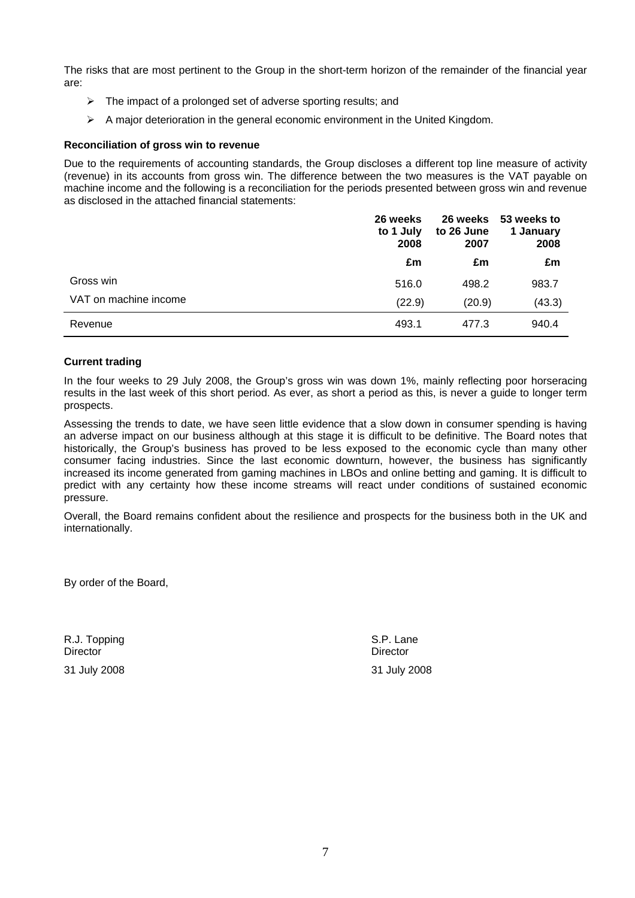The risks that are most pertinent to the Group in the short-term horizon of the remainder of the financial year are:

- $\triangleright$  The impact of a prolonged set of adverse sporting results; and
- $\triangleright$  A major deterioration in the general economic environment in the United Kingdom.

#### **Reconciliation of gross win to revenue**

Due to the requirements of accounting standards, the Group discloses a different top line measure of activity (revenue) in its accounts from gross win. The difference between the two measures is the VAT payable on machine income and the following is a reconciliation for the periods presented between gross win and revenue as disclosed in the attached financial statements:

|                       | 26 weeks<br>to 1 July<br>2008 | 26 weeks<br>to 26 June<br>2007 | 53 weeks to<br>1 January<br>2008 |
|-----------------------|-------------------------------|--------------------------------|----------------------------------|
|                       | £m                            | £m                             | £m                               |
| Gross win             | 516.0                         | 498.2                          | 983.7                            |
| VAT on machine income | (22.9)                        | (20.9)                         | (43.3)                           |
| Revenue               | 493.1                         | 477.3                          | 940.4                            |

#### **Current trading**

In the four weeks to 29 July 2008, the Group's gross win was down 1%, mainly reflecting poor horseracing results in the last week of this short period. As ever, as short a period as this, is never a guide to longer term prospects.

Assessing the trends to date, we have seen little evidence that a slow down in consumer spending is having an adverse impact on our business although at this stage it is difficult to be definitive. The Board notes that historically, the Group's business has proved to be less exposed to the economic cycle than many other consumer facing industries. Since the last economic downturn, however, the business has significantly increased its income generated from gaming machines in LBOs and online betting and gaming. It is difficult to predict with any certainty how these income streams will react under conditions of sustained economic pressure.

Overall, the Board remains confident about the resilience and prospects for the business both in the UK and internationally.

By order of the Board,

R.J. Topping S.P. Lane S.P. Lane S.P. Lane S.P. Lane S.P. Lane S.P. Lane Director Director

31 July 2008 31 July 2008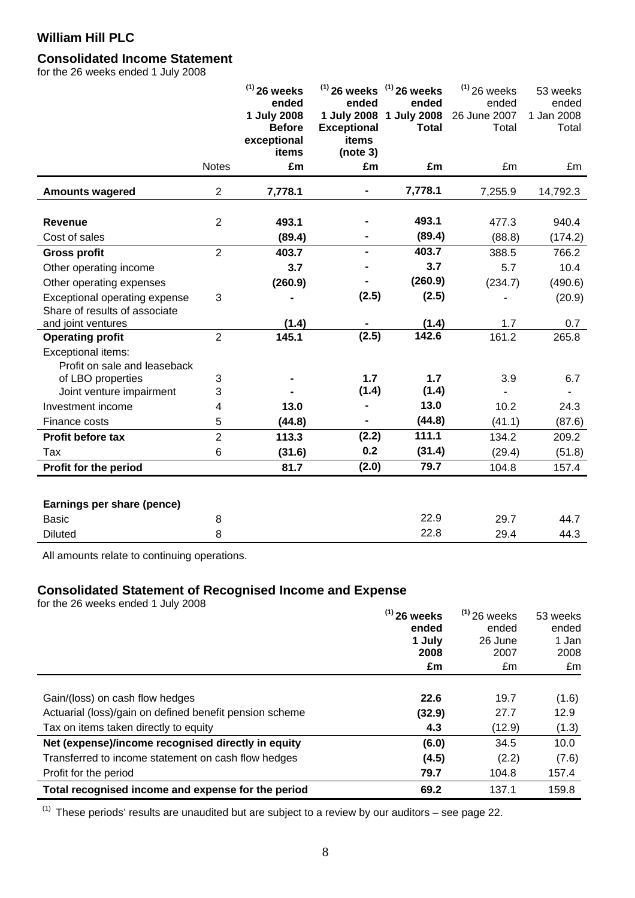# **Consolidated Income Statement**

for the 26 weeks ended 1 July 2008

|                                                                               |                | $(1)$ 26 weeks<br>ended<br>1 July 2008<br><b>Before</b><br>exceptional<br>items | ended<br>1 July 2008<br><b>Exceptional</b><br>items<br>(note 3) | $^{(1)}$ 26 weeks $^{(1)}$ 26 weeks<br>ended<br>1 July 2008<br><b>Total</b> | $(1)$ 26 weeks<br>ended<br>26 June 2007<br>Total | 53 weeks<br>ended<br>1 Jan 2008<br>Total |
|-------------------------------------------------------------------------------|----------------|---------------------------------------------------------------------------------|-----------------------------------------------------------------|-----------------------------------------------------------------------------|--------------------------------------------------|------------------------------------------|
|                                                                               | <b>Notes</b>   | £m                                                                              | £m                                                              | £m                                                                          | £m                                               | £m                                       |
| <b>Amounts wagered</b>                                                        | $\overline{2}$ | 7,778.1                                                                         |                                                                 | 7,778.1                                                                     | 7,255.9                                          | 14,792.3                                 |
| Revenue<br>Cost of sales                                                      | $\overline{2}$ | 493.1<br>(89.4)                                                                 |                                                                 | 493.1<br>(89.4)                                                             | 477.3<br>(88.8)                                  | 940.4<br>(174.2)                         |
| <b>Gross profit</b>                                                           | $\overline{2}$ | 403.7                                                                           |                                                                 | 403.7                                                                       | 388.5                                            | 766.2                                    |
| Other operating income                                                        |                | 3.7                                                                             |                                                                 | 3.7                                                                         | 5.7                                              | 10.4                                     |
| Other operating expenses                                                      |                | (260.9)                                                                         |                                                                 | (260.9)                                                                     | (234.7)                                          | (490.6)                                  |
| Exceptional operating expense<br>Share of results of associate                | 3              |                                                                                 | (2.5)                                                           | (2.5)                                                                       |                                                  | (20.9)                                   |
| and joint ventures                                                            |                | (1.4)                                                                           |                                                                 | (1.4)                                                                       | 1.7                                              | 0.7                                      |
| <b>Operating profit</b><br>Exceptional items:<br>Profit on sale and leaseback | $\overline{2}$ | 145.1                                                                           | (2.5)                                                           | 142.6                                                                       | 161.2                                            | 265.8                                    |
| of LBO properties                                                             | 3              |                                                                                 | 1.7                                                             | 1.7                                                                         | 3.9                                              | 6.7                                      |
| Joint venture impairment                                                      | 3              |                                                                                 | (1.4)                                                           | (1.4)                                                                       |                                                  |                                          |
| Investment income                                                             | 4              | 13.0                                                                            |                                                                 | 13.0                                                                        | 10.2                                             | 24.3                                     |
| Finance costs                                                                 | 5              | (44.8)                                                                          |                                                                 | (44.8)                                                                      | (41.1)                                           | (87.6)                                   |
| Profit before tax                                                             | $\overline{2}$ | 113.3                                                                           | (2.2)                                                           | 111.1                                                                       | 134.2                                            | 209.2                                    |
| Tax                                                                           | 6              | (31.6)                                                                          | 0.2                                                             | (31.4)                                                                      | (29.4)                                           | (51.8)                                   |
| Profit for the period                                                         |                | 81.7                                                                            | (2.0)                                                           | 79.7                                                                        | 104.8                                            | 157.4                                    |
| Earnings per share (pence)                                                    |                |                                                                                 |                                                                 |                                                                             |                                                  |                                          |
| <b>Basic</b>                                                                  | 8              |                                                                                 |                                                                 | 22.9                                                                        | 29.7                                             | 44.7                                     |
| <b>Diluted</b>                                                                | 8              |                                                                                 |                                                                 | 22.8                                                                        | 29.4                                             | 44.3                                     |

All amounts relate to continuing operations.

# **Consolidated Statement of Recognised Income and Expense**

for the 26 weeks ended 1 July 2008 **(1) 26 weeks** 

|                                                         | $^{(1)}$ 26 weeks | $(1)$ 26 weeks | 53 weeks |
|---------------------------------------------------------|-------------------|----------------|----------|
|                                                         | ended             | ended          | ended    |
|                                                         | 1 July            | 26 June        | 1 Jan    |
|                                                         | 2008              | 2007           | 2008     |
|                                                         | £m                | £m             | £m       |
|                                                         |                   |                |          |
| Gain/(loss) on cash flow hedges                         | 22.6              | 19.7           | (1.6)    |
| Actuarial (loss)/gain on defined benefit pension scheme | (32.9)            | 27.7           | 12.9     |
| Tax on items taken directly to equity                   | 4.3               | (12.9)         | (1.3)    |
| Net (expense)/income recognised directly in equity      | (6.0)             | 34.5           | 10.0     |
| Transferred to income statement on cash flow hedges     | (4.5)             | (2.2)          | (7.6)    |
| Profit for the period                                   | 79.7              | 104.8          | 157.4    |
| Total recognised income and expense for the period      | 69.2              | 137.1          | 159.8    |

 $(1)$  These periods' results are unaudited but are subject to a review by our auditors – see page 22.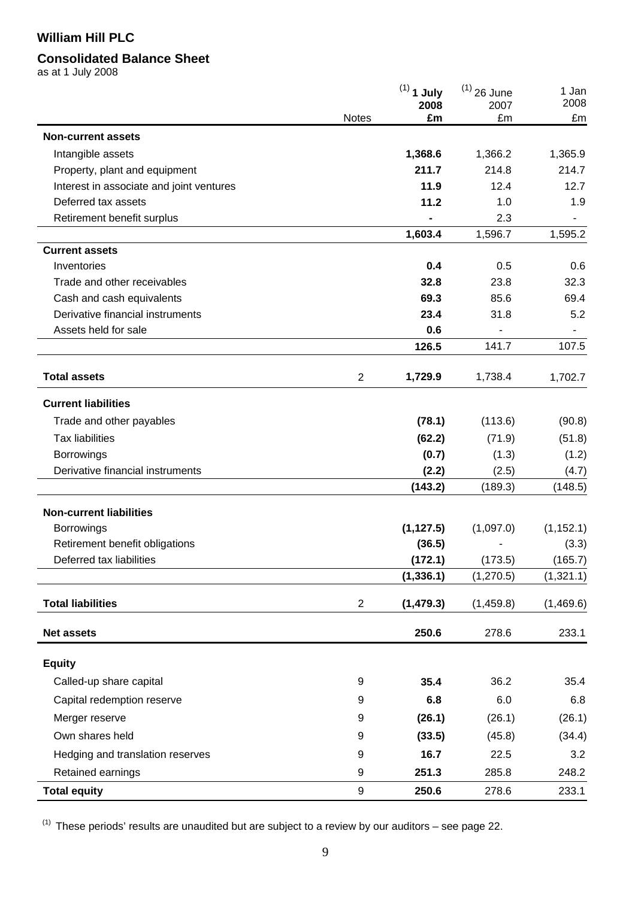# **Consolidated Balance Sheet**

as at 1 July 2008

|                                          |                | $(1)$ 1 July<br>2008 | $(1)$ 26 June<br>2007 | 1 Jan<br>2008 |
|------------------------------------------|----------------|----------------------|-----------------------|---------------|
|                                          | <b>Notes</b>   | £m                   | £m                    | £m            |
| <b>Non-current assets</b>                |                |                      |                       |               |
| Intangible assets                        |                | 1,368.6              | 1,366.2               | 1,365.9       |
| Property, plant and equipment            |                | 211.7                | 214.8                 | 214.7         |
| Interest in associate and joint ventures |                | 11.9                 | 12.4                  | 12.7          |
| Deferred tax assets                      |                | 11.2                 | 1.0                   | 1.9           |
| Retirement benefit surplus               |                |                      | 2.3                   |               |
|                                          |                | 1,603.4              | 1,596.7               | 1,595.2       |
| <b>Current assets</b>                    |                |                      |                       |               |
| Inventories                              |                | 0.4                  | 0.5                   | 0.6           |
| Trade and other receivables              |                | 32.8                 | 23.8                  | 32.3          |
| Cash and cash equivalents                |                | 69.3                 | 85.6                  | 69.4          |
| Derivative financial instruments         |                | 23.4                 | 31.8                  | 5.2           |
| Assets held for sale                     |                | 0.6                  |                       |               |
|                                          |                | 126.5                | 141.7                 | 107.5         |
| <b>Total assets</b>                      | $\overline{2}$ | 1,729.9              | 1,738.4               | 1,702.7       |
| <b>Current liabilities</b>               |                |                      |                       |               |
| Trade and other payables                 |                | (78.1)               | (113.6)               | (90.8)        |
| <b>Tax liabilities</b>                   |                | (62.2)               | (71.9)                | (51.8)        |
| Borrowings                               |                | (0.7)                | (1.3)                 | (1.2)         |
| Derivative financial instruments         |                | (2.2)                | (2.5)                 | (4.7)         |
|                                          |                | (143.2)              | (189.3)               | (148.5)       |
| <b>Non-current liabilities</b>           |                |                      |                       |               |
| <b>Borrowings</b>                        |                | (1, 127.5)           | (1,097.0)             | (1, 152.1)    |
| Retirement benefit obligations           |                | (36.5)               |                       | (3.3)         |
| Deferred tax liabilities                 |                | (172.1)              | (173.5)               | (165.7)       |
|                                          |                | (1, 336.1)           | (1, 270.5)            | (1,321.1)     |
| <b>Total liabilities</b>                 | $\overline{2}$ | (1, 479.3)           | (1,459.8)             | (1,469.6)     |
| <b>Net assets</b>                        |                | 250.6                | 278.6                 | 233.1         |
| <b>Equity</b>                            |                |                      |                       |               |
| Called-up share capital                  | 9              | 35.4                 | 36.2                  | 35.4          |
| Capital redemption reserve               | 9              | 6.8                  | 6.0                   | 6.8           |
| Merger reserve                           | 9              | (26.1)               | (26.1)                | (26.1)        |
| Own shares held                          | 9              | (33.5)               | (45.8)                | (34.4)        |
| Hedging and translation reserves         | 9              | 16.7                 | 22.5                  | 3.2           |
| Retained earnings                        | 9              | 251.3                | 285.8                 | 248.2         |
| <b>Total equity</b>                      | 9              | 250.6                | 278.6                 | 233.1         |

 $(1)$  These periods' results are unaudited but are subject to a review by our auditors – see page 22.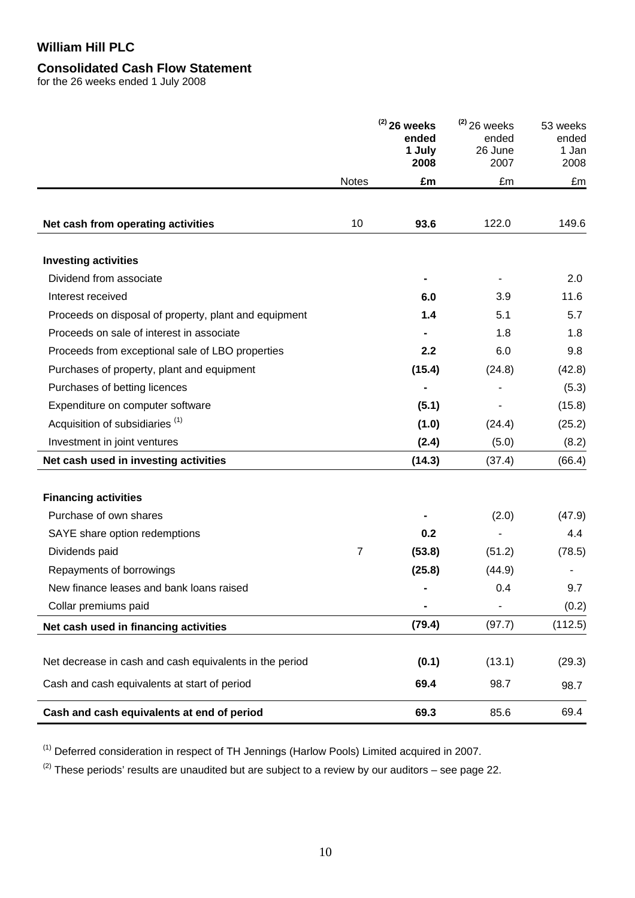# **Consolidated Cash Flow Statement**

for the 26 weeks ended 1 July 2008

|                                                         |                | $(2)$ 26 weeks<br>ended<br>1 July<br>2008 | $(2)$ 26 weeks<br>ended<br>26 June<br>2007 | 53 weeks<br>ended<br>1 Jan<br>2008 |
|---------------------------------------------------------|----------------|-------------------------------------------|--------------------------------------------|------------------------------------|
|                                                         | <b>Notes</b>   | £m                                        | £m                                         | £m                                 |
| Net cash from operating activities                      | 10             | 93.6                                      | 122.0                                      | 149.6                              |
| <b>Investing activities</b>                             |                |                                           |                                            |                                    |
| Dividend from associate                                 |                |                                           |                                            | 2.0                                |
| Interest received                                       |                | 6.0                                       | 3.9                                        | 11.6                               |
| Proceeds on disposal of property, plant and equipment   |                | 1.4                                       | 5.1                                        | 5.7                                |
| Proceeds on sale of interest in associate               |                |                                           | 1.8                                        | 1.8                                |
| Proceeds from exceptional sale of LBO properties        |                | 2.2                                       | 6.0                                        | 9.8                                |
| Purchases of property, plant and equipment              |                | (15.4)                                    | (24.8)                                     | (42.8)                             |
| Purchases of betting licences                           |                |                                           |                                            | (5.3)                              |
| Expenditure on computer software                        |                | (5.1)                                     |                                            | (15.8)                             |
| Acquisition of subsidiaries <sup>(1)</sup>              |                | (1.0)                                     | (24.4)                                     | (25.2)                             |
| Investment in joint ventures                            |                | (2.4)                                     | (5.0)                                      | (8.2)                              |
| Net cash used in investing activities                   |                | (14.3)                                    | (37.4)                                     | (66.4)                             |
| <b>Financing activities</b>                             |                |                                           |                                            |                                    |
| Purchase of own shares                                  |                |                                           | (2.0)                                      | (47.9)                             |
| SAYE share option redemptions                           |                | 0.2                                       |                                            | 4.4                                |
| Dividends paid                                          | $\overline{7}$ | (53.8)                                    | (51.2)                                     | (78.5)                             |
| Repayments of borrowings                                |                | (25.8)                                    | (44.9)                                     |                                    |
| New finance leases and bank loans raised                |                |                                           | 0.4                                        | 9.7                                |
| Collar premiums paid                                    |                |                                           |                                            | (0.2)                              |
| Net cash used in financing activities                   |                | (79.4)                                    | (97.7)                                     | (112.5)                            |
| Net decrease in cash and cash equivalents in the period |                | (0.1)                                     | (13.1)                                     | (29.3)                             |
| Cash and cash equivalents at start of period            |                | 69.4                                      | 98.7                                       | 98.7                               |
| Cash and cash equivalents at end of period              |                | 69.3                                      | 85.6                                       | 69.4                               |

(1) Deferred consideration in respect of TH Jennings (Harlow Pools) Limited acquired in 2007.

 $(2)$  These periods' results are unaudited but are subject to a review by our auditors – see page 22.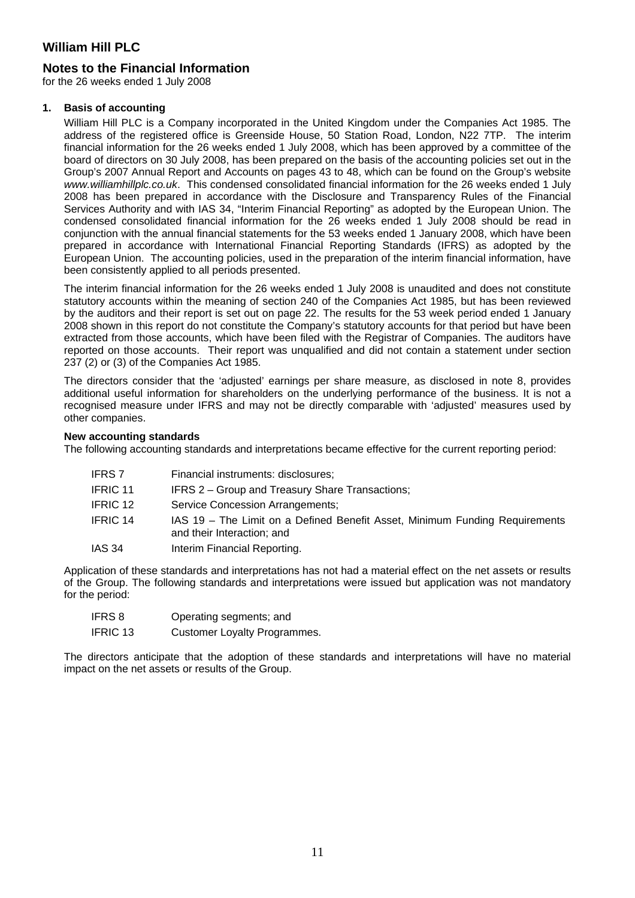### **Notes to the Financial Information**

for the 26 weeks ended 1 July 2008

#### **1. Basis of accounting**

William Hill PLC is a Company incorporated in the United Kingdom under the Companies Act 1985. The address of the registered office is Greenside House, 50 Station Road, London, N22 7TP. The interim financial information for the 26 weeks ended 1 July 2008, which has been approved by a committee of the board of directors on 30 July 2008, has been prepared on the basis of the accounting policies set out in the Group's 2007 Annual Report and Accounts on pages 43 to 48, which can be found on the Group's website *www.williamhillplc.co.uk*. This condensed consolidated financial information for the 26 weeks ended 1 July 2008 has been prepared in accordance with the Disclosure and Transparency Rules of the Financial Services Authority and with IAS 34, "Interim Financial Reporting" as adopted by the European Union. The condensed consolidated financial information for the 26 weeks ended 1 July 2008 should be read in conjunction with the annual financial statements for the 53 weeks ended 1 January 2008, which have been prepared in accordance with International Financial Reporting Standards (IFRS) as adopted by the European Union. The accounting policies, used in the preparation of the interim financial information, have been consistently applied to all periods presented.

The interim financial information for the 26 weeks ended 1 July 2008 is unaudited and does not constitute statutory accounts within the meaning of section 240 of the Companies Act 1985, but has been reviewed by the auditors and their report is set out on page 22. The results for the 53 week period ended 1 January 2008 shown in this report do not constitute the Company's statutory accounts for that period but have been extracted from those accounts, which have been filed with the Registrar of Companies. The auditors have reported on those accounts. Their report was unqualified and did not contain a statement under section 237 (2) or (3) of the Companies Act 1985.

The directors consider that the 'adjusted' earnings per share measure, as disclosed in note 8, provides additional useful information for shareholders on the underlying performance of the business. It is not a recognised measure under IFRS and may not be directly comparable with 'adjusted' measures used by other companies.

#### **New accounting standards**

The following accounting standards and interpretations became effective for the current reporting period:

| IFRS 7   | Financial instruments: disclosures;                                                                       |
|----------|-----------------------------------------------------------------------------------------------------------|
| IFRIC 11 | IFRS 2 – Group and Treasury Share Transactions;                                                           |
| IFRIC 12 | Service Concession Arrangements;                                                                          |
| IFRIC 14 | IAS 19 – The Limit on a Defined Benefit Asset, Minimum Funding Requirements<br>and their Interaction; and |
| IAS 34   | Interim Financial Reporting.                                                                              |

Application of these standards and interpretations has not had a material effect on the net assets or results of the Group. The following standards and interpretations were issued but application was not mandatory for the period:

| IFRS 8   | Operating segments; and             |
|----------|-------------------------------------|
| IFRIC 13 | <b>Customer Loyalty Programmes.</b> |

The directors anticipate that the adoption of these standards and interpretations will have no material impact on the net assets or results of the Group.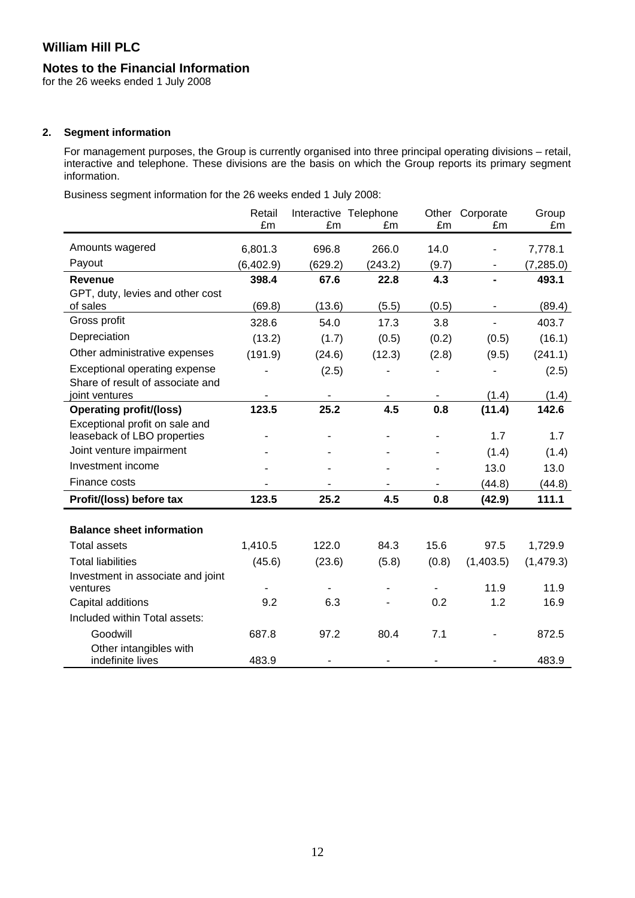### **Notes to the Financial Information**

for the 26 weeks ended 1 July 2008

### **2. Segment information**

For management purposes, the Group is currently organised into three principal operating divisions – retail, interactive and telephone. These divisions are the basis on which the Group reports its primary segment information.

Business segment information for the 26 weeks ended 1 July 2008:

|                                                         | Retail<br>£m | £m      | Interactive Telephone<br>£m | Other<br>£m | Corporate<br>£m              | Group<br>£m |
|---------------------------------------------------------|--------------|---------|-----------------------------|-------------|------------------------------|-------------|
| Amounts wagered                                         | 6,801.3      | 696.8   | 266.0                       | 14.0        |                              | 7,778.1     |
| Payout                                                  | (6,402.9)    | (629.2) | (243.2)                     | (9.7)       |                              | (7, 285.0)  |
| <b>Revenue</b>                                          | 398.4        | 67.6    | 22.8                        | 4.3         |                              | 493.1       |
| GPT, duty, levies and other cost                        |              |         |                             |             |                              |             |
| of sales                                                | (69.8)       | (13.6)  | (5.5)                       | (0.5)       | $\qquad \qquad \blacksquare$ | (89.4)      |
| Gross profit                                            | 328.6        | 54.0    | 17.3                        | 3.8         |                              | 403.7       |
| Depreciation                                            | (13.2)       | (1.7)   | (0.5)                       | (0.2)       | (0.5)                        | (16.1)      |
| Other administrative expenses                           | (191.9)      | (24.6)  | (12.3)                      | (2.8)       | (9.5)                        | (241.1)     |
| Exceptional operating expense                           |              | (2.5)   |                             |             |                              | (2.5)       |
| Share of result of associate and                        |              |         |                             |             |                              |             |
| joint ventures                                          |              |         |                             |             | (1.4)                        | (1.4)       |
| <b>Operating profit/(loss)</b>                          | 123.5        | 25.2    | 4.5                         | 0.8         | (11.4)                       | 142.6       |
| Exceptional profit on sale and                          |              |         |                             |             | 1.7                          | 1.7         |
| leaseback of LBO properties<br>Joint venture impairment |              |         |                             |             |                              |             |
| Investment income                                       |              |         |                             |             | (1.4)                        | (1.4)       |
|                                                         |              |         |                             |             | 13.0                         | 13.0        |
| Finance costs                                           |              |         |                             |             | (44.8)                       | (44.8)      |
| Profit/(loss) before tax                                | 123.5        | 25.2    | 4.5                         | 0.8         | (42.9)                       | 111.1       |
| <b>Balance sheet information</b>                        |              |         |                             |             |                              |             |
| <b>Total assets</b>                                     | 1,410.5      | 122.0   | 84.3                        | 15.6        | 97.5                         | 1,729.9     |
| <b>Total liabilities</b>                                | (45.6)       | (23.6)  | (5.8)                       | (0.8)       | (1,403.5)                    | (1, 479.3)  |
| Investment in associate and joint                       |              |         |                             |             |                              |             |
| ventures                                                |              |         |                             |             | 11.9                         | 11.9        |
| Capital additions                                       | 9.2          | 6.3     |                             | 0.2         | 1.2                          | 16.9        |
| Included within Total assets:                           |              |         |                             |             |                              |             |
| Goodwill                                                | 687.8        | 97.2    | 80.4                        | 7.1         |                              | 872.5       |
| Other intangibles with<br>indefinite lives              | 483.9        |         |                             |             |                              | 483.9       |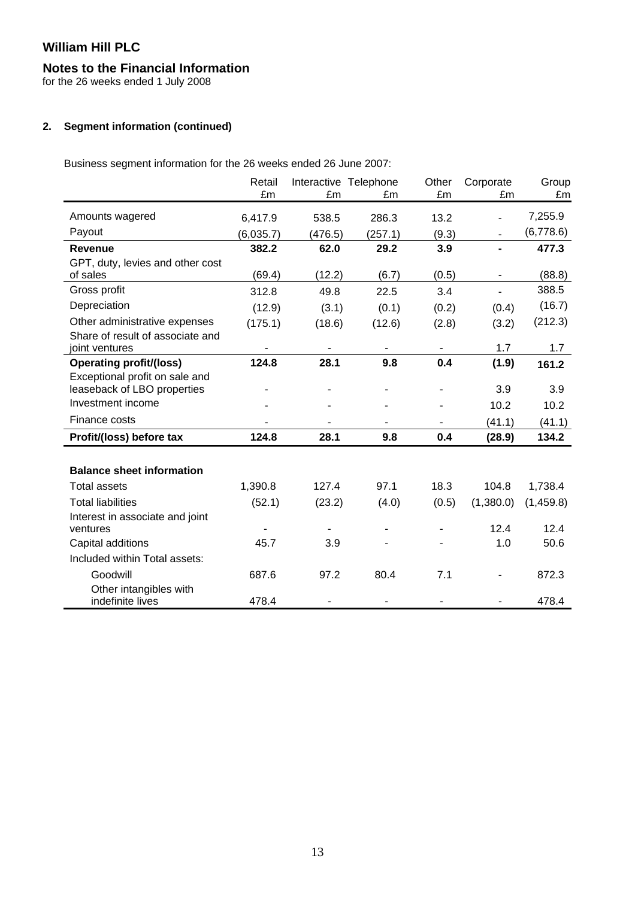# **Notes to the Financial Information**

for the 26 weeks ended 1 July 2008

### **2. Segment information (continued)**

Business segment information for the 26 weeks ended 26 June 2007:

|                                                                   | Retail<br>£m | £m      | Interactive Telephone<br>£m | Other<br>£m | Corporate<br>£m | Group<br>£m |
|-------------------------------------------------------------------|--------------|---------|-----------------------------|-------------|-----------------|-------------|
| Amounts wagered                                                   | 6,417.9      | 538.5   | 286.3                       | 13.2        |                 | 7,255.9     |
| Payout                                                            | (6,035.7)    | (476.5) | (257.1)                     | (9.3)       | ٠               | (6,778.6)   |
| <b>Revenue</b>                                                    | 382.2        | 62.0    | 29.2                        | 3.9         |                 | 477.3       |
| GPT, duty, levies and other cost<br>of sales                      | (69.4)       | (12.2)  | (6.7)                       | (0.5)       | $\blacksquare$  | (88.8)      |
| Gross profit                                                      | 312.8        | 49.8    | 22.5                        | 3.4         | ÷.              | 388.5       |
| Depreciation                                                      | (12.9)       | (3.1)   | (0.1)                       | (0.2)       | (0.4)           | (16.7)      |
| Other administrative expenses<br>Share of result of associate and | (175.1)      | (18.6)  | (12.6)                      | (2.8)       | (3.2)           | (212.3)     |
| joint ventures                                                    |              |         |                             |             | 1.7             | 1.7         |
| <b>Operating profit/(loss)</b>                                    | 124.8        | 28.1    | 9.8                         | 0.4         | (1.9)           | 161.2       |
| Exceptional profit on sale and<br>leaseback of LBO properties     |              |         |                             |             | 3.9             | 3.9         |
| Investment income                                                 |              |         |                             |             | 10.2            | 10.2        |
| Finance costs                                                     |              |         |                             |             | (41.1)          | (41.1)      |
| Profit/(loss) before tax                                          | 124.8        | 28.1    | 9.8                         | 0.4         | (28.9)          | 134.2       |
|                                                                   |              |         |                             |             |                 |             |
| <b>Balance sheet information</b>                                  |              |         |                             |             |                 |             |
| <b>Total assets</b>                                               | 1,390.8      | 127.4   | 97.1                        | 18.3        | 104.8           | 1,738.4     |
| <b>Total liabilities</b>                                          | (52.1)       | (23.2)  | (4.0)                       | (0.5)       | (1,380.0)       | (1,459.8)   |
| Interest in associate and joint<br>ventures                       |              |         |                             |             | 12.4            | 12.4        |
| Capital additions                                                 | 45.7         | 3.9     |                             |             | 1.0             | 50.6        |
| Included within Total assets:                                     |              |         |                             |             |                 |             |
| Goodwill                                                          | 687.6        | 97.2    | 80.4                        | 7.1         |                 | 872.3       |
| Other intangibles with<br>indefinite lives                        | 478.4        |         |                             |             |                 | 478.4       |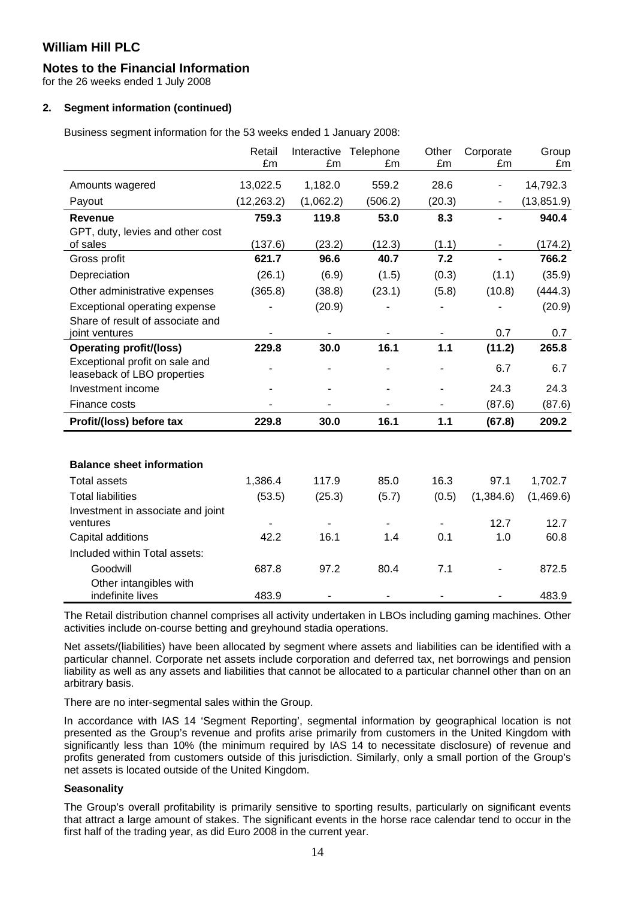# **Notes to the Financial Information**

for the 26 weeks ended 1 July 2008

# **2. Segment information (continued)**

Business segment information for the 53 weeks ended 1 January 2008:

|                                                               | Retail      | Interactive | Telephone | Other  | Corporate | Group       |
|---------------------------------------------------------------|-------------|-------------|-----------|--------|-----------|-------------|
|                                                               | £m          | £m          | £m        | £m     | £m        | £m          |
| Amounts wagered                                               | 13,022.5    | 1,182.0     | 559.2     | 28.6   |           | 14,792.3    |
| Payout                                                        | (12, 263.2) | (1,062.2)   | (506.2)   | (20.3) | -         | (13, 851.9) |
| <b>Revenue</b>                                                | 759.3       | 119.8       | 53.0      | 8.3    |           | 940.4       |
| GPT, duty, levies and other cost                              |             |             |           |        |           |             |
| of sales                                                      | (137.6)     | (23.2)      | (12.3)    | (1.1)  |           | (174.2)     |
| Gross profit                                                  | 621.7       | 96.6        | 40.7      | 7.2    |           | 766.2       |
| Depreciation                                                  | (26.1)      | (6.9)       | (1.5)     | (0.3)  | (1.1)     | (35.9)      |
| Other administrative expenses                                 | (365.8)     | (38.8)      | (23.1)    | (5.8)  | (10.8)    | (444.3)     |
| Exceptional operating expense                                 |             | (20.9)      |           |        |           | (20.9)      |
| Share of result of associate and                              |             |             |           |        |           |             |
| joint ventures                                                |             |             |           |        | 0.7       | 0.7         |
| <b>Operating profit/(loss)</b>                                | 229.8       | 30.0        | 16.1      | $1.1$  | (11.2)    | 265.8       |
| Exceptional profit on sale and<br>leaseback of LBO properties |             |             |           |        | 6.7       | 6.7         |
| Investment income                                             |             |             |           |        | 24.3      | 24.3        |
| Finance costs                                                 |             |             |           | ٠      | (87.6)    | (87.6)      |
| Profit/(loss) before tax                                      | 229.8       | 30.0        | 16.1      | 1.1    | (67.8)    | 209.2       |
|                                                               |             |             |           |        |           |             |
| <b>Balance sheet information</b>                              |             |             |           |        |           |             |
| <b>Total assets</b>                                           | 1,386.4     | 117.9       | 85.0      | 16.3   | 97.1      | 1,702.7     |
| <b>Total liabilities</b>                                      | (53.5)      | (25.3)      | (5.7)     | (0.5)  | (1,384.6) | (1,469.6)   |
| Investment in associate and joint                             |             |             |           |        |           |             |
| ventures                                                      |             |             |           |        | 12.7      | 12.7        |
| Capital additions                                             | 42.2        | 16.1        | 1.4       | 0.1    | 1.0       | 60.8        |
| Included within Total assets:                                 |             |             |           |        |           |             |
| Goodwill                                                      | 687.8       | 97.2        | 80.4      | 7.1    |           | 872.5       |
| Other intangibles with<br>indefinite lives                    | 483.9       |             |           |        |           | 483.9       |

The Retail distribution channel comprises all activity undertaken in LBOs including gaming machines. Other activities include on-course betting and greyhound stadia operations.

Net assets/(liabilities) have been allocated by segment where assets and liabilities can be identified with a particular channel. Corporate net assets include corporation and deferred tax, net borrowings and pension liability as well as any assets and liabilities that cannot be allocated to a particular channel other than on an arbitrary basis.

There are no inter-segmental sales within the Group.

In accordance with IAS 14 'Segment Reporting', segmental information by geographical location is not presented as the Group's revenue and profits arise primarily from customers in the United Kingdom with significantly less than 10% (the minimum required by IAS 14 to necessitate disclosure) of revenue and profits generated from customers outside of this jurisdiction. Similarly, only a small portion of the Group's net assets is located outside of the United Kingdom.

### **Seasonality**

The Group's overall profitability is primarily sensitive to sporting results, particularly on significant events that attract a large amount of stakes. The significant events in the horse race calendar tend to occur in the first half of the trading year, as did Euro 2008 in the current year.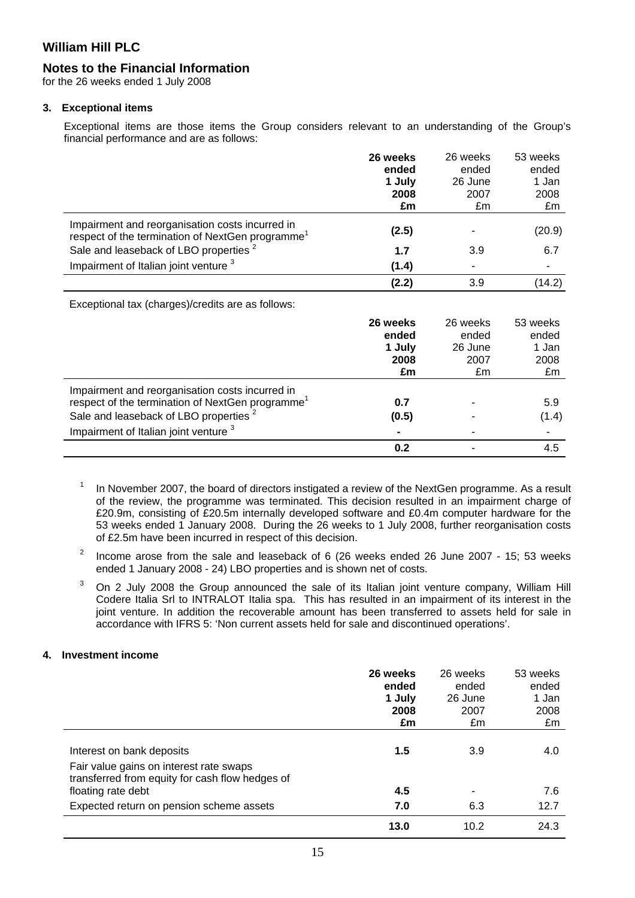### **Notes to the Financial Information**

for the 26 weeks ended 1 July 2008

#### **3. Exceptional items**

Exceptional items are those items the Group considers relevant to an understanding of the Group's financial performance and are as follows:

|                                                                                                                 | 26 weeks<br>ended<br>1 July<br>2008 | 26 weeks<br>ended<br>26 June<br>2007 | 53 weeks<br>ended<br>1 Jan<br>2008 |
|-----------------------------------------------------------------------------------------------------------------|-------------------------------------|--------------------------------------|------------------------------------|
|                                                                                                                 | £m                                  | £m                                   | £m                                 |
| Impairment and reorganisation costs incurred in<br>respect of the termination of NextGen programme <sup>1</sup> | (2.5)                               |                                      | (20.9)                             |
| Sale and leaseback of LBO properties <sup>2</sup>                                                               | 1.7                                 | 3.9                                  | 6.7                                |
| Impairment of Italian joint venture 3                                                                           | (1.4)                               |                                      |                                    |
|                                                                                                                 | (2.2)                               | 3.9                                  | (14.2)                             |
| Exceptional tax (charges)/credits are as follows:                                                               |                                     |                                      |                                    |
|                                                                                                                 | 26 weeks                            | 26 weeks                             | 53 weeks                           |
|                                                                                                                 | ended                               | ended                                | ended                              |
|                                                                                                                 | 1 July                              | 26 June                              | 1 Jan                              |
|                                                                                                                 | 2008                                | 2007                                 | 2008                               |
|                                                                                                                 | £m                                  | £m                                   | £m                                 |
| Impairment and reorganisation costs incurred in                                                                 |                                     |                                      |                                    |
| respect of the termination of NextGen programme <sup>1</sup>                                                    | 0.7                                 |                                      | 5.9                                |
| Sale and leaseback of LBO properties <sup>2</sup>                                                               | (0.5)                               |                                      | (1.4)                              |

1 In November 2007, the board of directors instigated a review of the NextGen programme. As a result of the review, the programme was terminated. This decision resulted in an impairment charge of £20.9m, consisting of £20.5m internally developed software and £0.4m computer hardware for the 53 weeks ended 1 January 2008. During the 26 weeks to 1 July 2008, further reorganisation costs of £2.5m have been incurred in respect of this decision.

 **0.2** - 4.5

Impairment of Italian joint venture <sup>3</sup> **-** - -

- 2 Income arose from the sale and leaseback of 6 (26 weeks ended 26 June 2007 - 15; 53 weeks ended 1 January 2008 - 24) LBO properties and is shown net of costs.
- 3 On 2 July 2008 the Group announced the sale of its Italian joint venture company, William Hill Codere Italia Srl to INTRALOT Italia spa. This has resulted in an impairment of its interest in the joint venture. In addition the recoverable amount has been transferred to assets held for sale in accordance with IFRS 5: 'Non current assets held for sale and discontinued operations'.

### **4. Investment income**

|                                                                                                                         | 26 weeks<br>ended | 26 weeks<br>ended | 53 weeks<br>ended |
|-------------------------------------------------------------------------------------------------------------------------|-------------------|-------------------|-------------------|
|                                                                                                                         | 1 July            | 26 June           | 1 Jan             |
|                                                                                                                         | 2008              | 2007              | 2008              |
|                                                                                                                         | £m                | £m                | £m                |
| Interest on bank deposits<br>Fair value gains on interest rate swaps<br>transferred from equity for cash flow hedges of | 1.5               | 3.9               | 4.0               |
| floating rate debt                                                                                                      | 4.5               |                   | 7.6               |
| Expected return on pension scheme assets                                                                                | 7.0               | 6.3               | 12.7              |
|                                                                                                                         | 13.0              | 10.2              | 24.3              |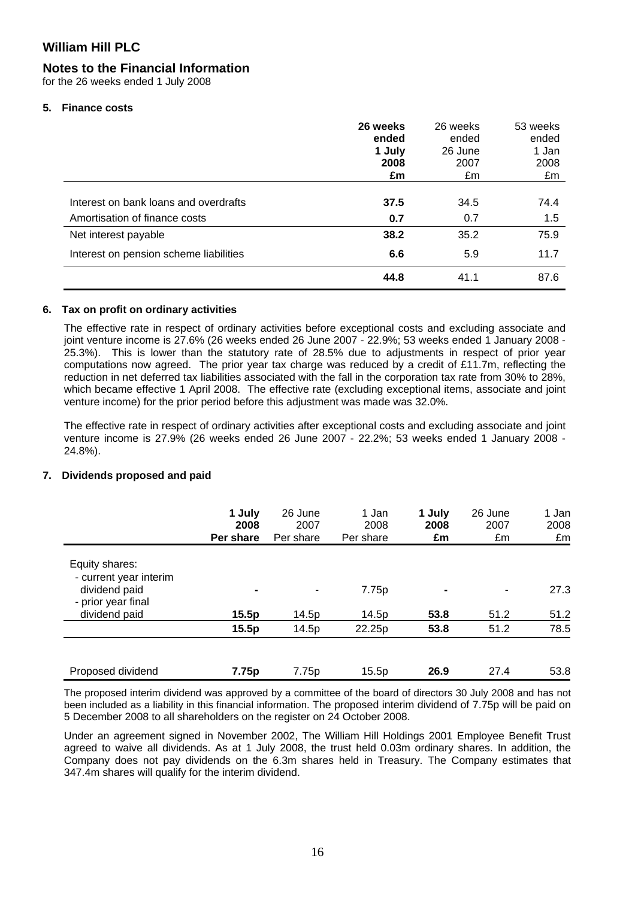# **Notes to the Financial Information**

for the 26 weeks ended 1 July 2008

### **5. Finance costs**

|                                        | 26 weeks<br>ended<br>1 July | 26 weeks<br>ended<br>26 June | 53 weeks<br>ended<br>1 Jan |
|----------------------------------------|-----------------------------|------------------------------|----------------------------|
|                                        | 2008<br>£m                  | 2007<br>£m                   | 2008<br>£m                 |
| Interest on bank loans and overdrafts  | 37.5                        | 34.5                         | 74.4                       |
| Amortisation of finance costs          | 0.7                         | 0.7                          | 1.5                        |
| Net interest payable                   | 38.2                        | 35.2                         | 75.9                       |
| Interest on pension scheme liabilities | 6.6                         | 5.9                          | 11.7                       |
|                                        | 44.8                        | 41.1                         | 87.6                       |

### **6. Tax on profit on ordinary activities**

The effective rate in respect of ordinary activities before exceptional costs and excluding associate and joint venture income is 27.6% (26 weeks ended 26 June 2007 - 22.9%; 53 weeks ended 1 January 2008 -25.3%). This is lower than the statutory rate of 28.5% due to adjustments in respect of prior year computations now agreed. The prior year tax charge was reduced by a credit of £11.7m, reflecting the reduction in net deferred tax liabilities associated with the fall in the corporation tax rate from 30% to 28%, which became effective 1 April 2008. The effective rate (excluding exceptional items, associate and joint venture income) for the prior period before this adjustment was made was 32.0%.

The effective rate in respect of ordinary activities after exceptional costs and excluding associate and joint venture income is 27.9% (26 weeks ended 26 June 2007 - 22.2%; 53 weeks ended 1 January 2008 - 24.8%).

### **7. Dividends proposed and paid**

|                                                                                 | 1 July<br>2008<br>Per share | 26 June<br>2007<br>Per share | 1 Jan<br>2008<br>Per share | 1 July<br>2008<br>£m | 26 June<br>2007<br>£m | 1 Jan<br>2008<br>£m |
|---------------------------------------------------------------------------------|-----------------------------|------------------------------|----------------------------|----------------------|-----------------------|---------------------|
| Equity shares:<br>- current year interim<br>dividend paid<br>- prior year final | $\blacksquare$              | ٠                            | 7.75p                      | $\blacksquare$       |                       | 27.3                |
| dividend paid                                                                   | 15.5p                       | 14.5p                        | 14.5p                      | 53.8                 | 51.2                  | 51.2                |
|                                                                                 | 15.5p                       | 14.5p                        | 22.25p                     | 53.8                 | 51.2                  | 78.5                |
| Proposed dividend                                                               | 7.75p                       | 7.75p                        | 15.5p                      | 26.9                 | 27.4                  | 53.8                |

The proposed interim dividend was approved by a committee of the board of directors 30 July 2008 and has not been included as a liability in this financial information. The proposed interim dividend of 7.75p will be paid on 5 December 2008 to all shareholders on the register on 24 October 2008.

Under an agreement signed in November 2002, The William Hill Holdings 2001 Employee Benefit Trust agreed to waive all dividends. As at 1 July 2008, the trust held 0.03m ordinary shares. In addition, the Company does not pay dividends on the 6.3m shares held in Treasury. The Company estimates that 347.4m shares will qualify for the interim dividend.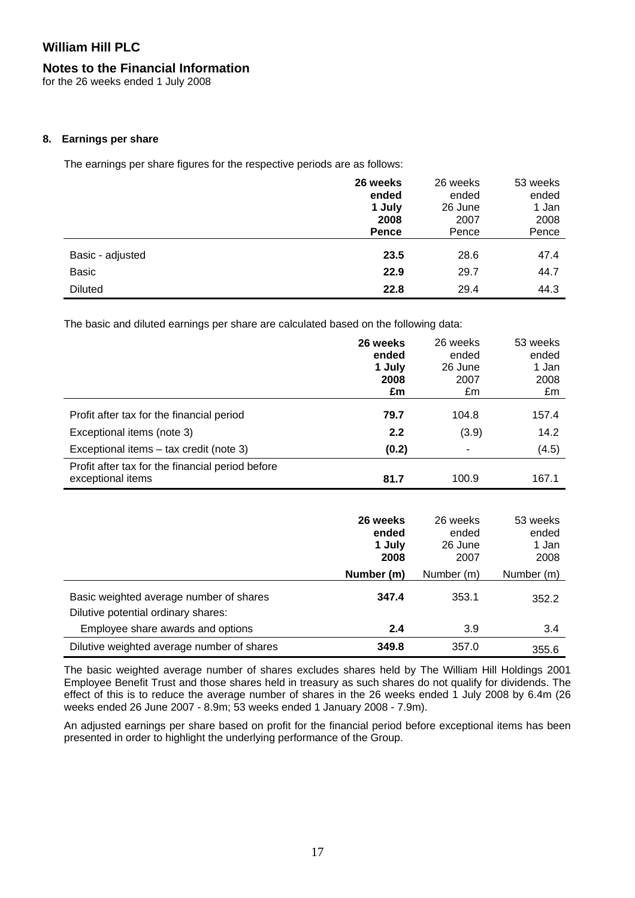### **Notes to the Financial Information**

for the 26 weeks ended 1 July 2008

### **8. Earnings per share**

The earnings per share figures for the respective periods are as follows:

|                  | 26 weeks<br>ended | 26 weeks<br>ended | 53 weeks<br>ended |
|------------------|-------------------|-------------------|-------------------|
|                  | 1 July            | 26 June           | 1 Jan             |
|                  | 2008              | 2007              | 2008              |
|                  | <b>Pence</b>      | Pence             | Pence             |
| Basic - adjusted | 23.5              | 28.6              | 47.4              |
| <b>Basic</b>     | 22.9              | 29.7              | 44.7              |
| <b>Diluted</b>   | 22.8              | 29.4              | 44.3              |

The basic and diluted earnings per share are calculated based on the following data:

|                                                                       | 26 weeks<br>ended<br>1 July<br>2008<br>£m | 26 weeks<br>ended<br>26 June<br>2007<br>£m | 53 weeks<br>ended<br>1 Jan<br>2008<br>£m |
|-----------------------------------------------------------------------|-------------------------------------------|--------------------------------------------|------------------------------------------|
| Profit after tax for the financial period                             | 79.7                                      | 104.8                                      | 157.4                                    |
| Exceptional items (note 3)                                            | 2.2                                       | (3.9)                                      | 14.2                                     |
| Exceptional items – tax credit (note 3)                               | (0.2)                                     | ۰                                          | (4.5)                                    |
| Profit after tax for the financial period before<br>exceptional items | 81.7                                      | 100.9                                      | 167.1                                    |

|                                                                                | 26 weeks<br>ended<br>1 July<br>2008 | 26 weeks<br>ended<br>26 June<br>2007 | 53 weeks<br>ended<br>1 Jan<br>2008 |
|--------------------------------------------------------------------------------|-------------------------------------|--------------------------------------|------------------------------------|
|                                                                                | Number (m)                          | Number (m)                           | Number (m)                         |
| Basic weighted average number of shares<br>Dilutive potential ordinary shares: | 347.4                               | 353.1                                | 352.2                              |
| Employee share awards and options                                              | 2.4                                 | 3.9                                  | 3.4                                |
| Dilutive weighted average number of shares                                     | 349.8                               | 357.0                                | 355.6                              |

The basic weighted average number of shares excludes shares held by The William Hill Holdings 2001 Employee Benefit Trust and those shares held in treasury as such shares do not qualify for dividends. The effect of this is to reduce the average number of shares in the 26 weeks ended 1 July 2008 by 6.4m (26 weeks ended 26 June 2007 - 8.9m; 53 weeks ended 1 January 2008 - 7.9m).

An adjusted earnings per share based on profit for the financial period before exceptional items has been presented in order to highlight the underlying performance of the Group.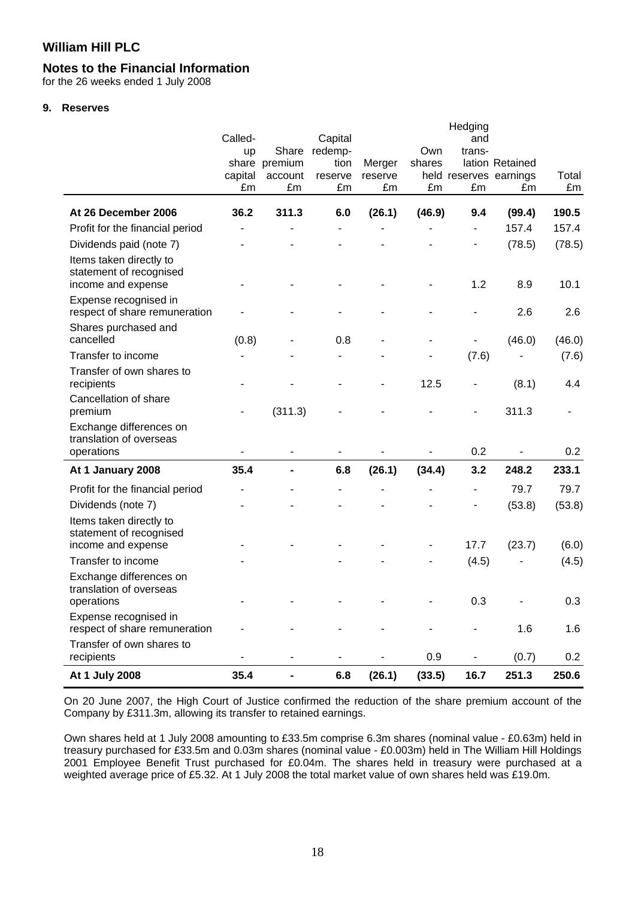### **Notes to the Financial Information**

for the 26 weeks ended 1 July 2008

#### **9. Reserves**

|                                                                          | Called-<br>up<br>capital<br>£m | Share<br>share premium<br>account<br>£m | Capital<br>redemp-<br>tion<br>reserve<br>£m | Merger<br>reserve<br>£m | Own<br>shares<br>£m | Hedging<br>and<br>trans-<br>£m | lation Retained<br>held reserves earnings<br>£m | Total<br>£m |
|--------------------------------------------------------------------------|--------------------------------|-----------------------------------------|---------------------------------------------|-------------------------|---------------------|--------------------------------|-------------------------------------------------|-------------|
| At 26 December 2006                                                      | 36.2                           | 311.3                                   | 6.0                                         | (26.1)                  | (46.9)              | 9.4                            | (99.4)                                          | 190.5       |
| Profit for the financial period                                          |                                |                                         |                                             |                         |                     | $\overline{a}$                 | 157.4                                           | 157.4       |
| Dividends paid (note 7)                                                  |                                |                                         |                                             |                         |                     |                                | (78.5)                                          | (78.5)      |
| Items taken directly to<br>statement of recognised<br>income and expense |                                |                                         |                                             |                         |                     | 1.2                            | 8.9                                             | 10.1        |
| Expense recognised in<br>respect of share remuneration                   |                                |                                         |                                             |                         |                     |                                | 2.6                                             | 2.6         |
| Shares purchased and<br>cancelled                                        | (0.8)                          |                                         | 0.8                                         |                         |                     |                                | (46.0)                                          | (46.0)      |
| Transfer to income                                                       |                                |                                         |                                             |                         |                     | (7.6)                          |                                                 | (7.6)       |
| Transfer of own shares to<br>recipients                                  |                                |                                         |                                             |                         | 12.5                |                                | (8.1)                                           | 4.4         |
| Cancellation of share<br>premium                                         |                                | (311.3)                                 |                                             |                         |                     |                                | 311.3                                           |             |
| Exchange differences on<br>translation of overseas<br>operations         |                                |                                         |                                             |                         |                     | 0.2                            |                                                 | 0.2         |
| At 1 January 2008                                                        | 35.4                           |                                         | 6.8                                         | (26.1)                  | (34.4)              | 3.2                            | 248.2                                           | 233.1       |
| Profit for the financial period                                          |                                |                                         |                                             |                         |                     |                                | 79.7                                            | 79.7        |
| Dividends (note 7)                                                       |                                |                                         |                                             |                         |                     |                                | (53.8)                                          | (53.8)      |
| Items taken directly to<br>statement of recognised<br>income and expense |                                |                                         |                                             |                         |                     | 17.7                           | (23.7)                                          | (6.0)       |
| Transfer to income                                                       |                                |                                         |                                             |                         |                     | (4.5)                          |                                                 | (4.5)       |
| Exchange differences on<br>translation of overseas<br>operations         |                                |                                         |                                             |                         |                     | 0.3                            |                                                 | 0.3         |
| Expense recognised in<br>respect of share remuneration                   |                                |                                         |                                             |                         |                     |                                | 1.6                                             | 1.6         |
| Transfer of own shares to<br>recipients                                  |                                | $\overline{\phantom{a}}$                | $\blacksquare$                              |                         | 0.9                 | $\overline{\phantom{0}}$       | (0.7)                                           | 0.2         |
| At 1 July 2008                                                           | 35.4                           |                                         | 6.8                                         | (26.1)                  | (33.5)              | 16.7                           | 251.3                                           | 250.6       |

On 20 June 2007, the High Court of Justice confirmed the reduction of the share premium account of the Company by £311.3m, allowing its transfer to retained earnings.

Own shares held at 1 July 2008 amounting to £33.5m comprise 6.3m shares (nominal value - £0.63m) held in treasury purchased for £33.5m and 0.03m shares (nominal value - £0.003m) held in The William Hill Holdings 2001 Employee Benefit Trust purchased for £0.04m. The shares held in treasury were purchased at a weighted average price of £5.32. At 1 July 2008 the total market value of own shares held was £19.0m.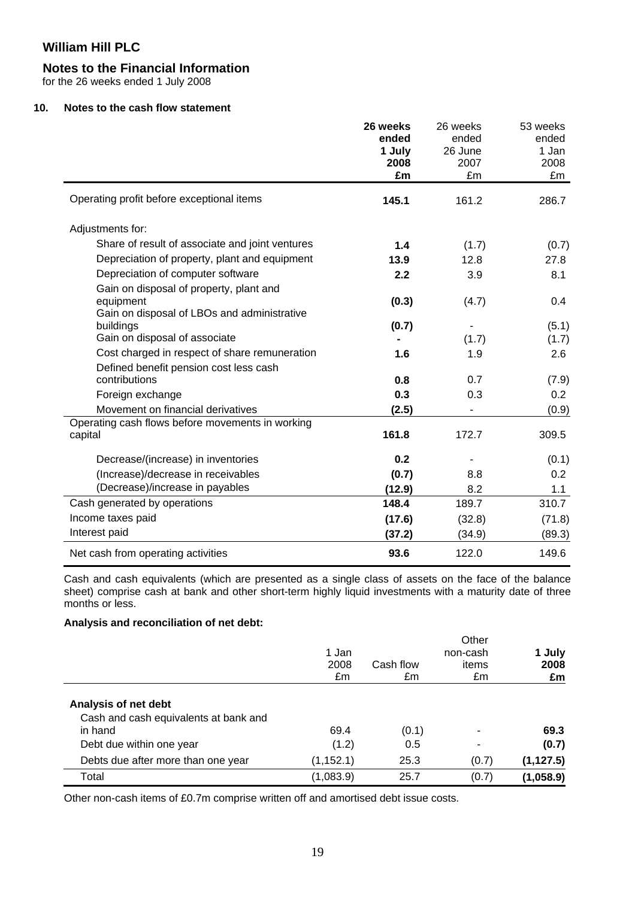### **Notes to the Financial Information**

for the 26 weeks ended 1 July 2008

### **10. Notes to the cash flow statement**

|                                                                                           | 26 weeks<br>ended<br>1 July<br>2008<br>£m | 26 weeks<br>ended<br>26 June<br>2007<br>£m | 53 weeks<br>ended<br>1 Jan<br>2008<br>£m |
|-------------------------------------------------------------------------------------------|-------------------------------------------|--------------------------------------------|------------------------------------------|
| Operating profit before exceptional items                                                 | 145.1                                     | 161.2                                      | 286.7                                    |
| Adjustments for:                                                                          |                                           |                                            |                                          |
| Share of result of associate and joint ventures                                           | 1.4                                       | (1.7)                                      | (0.7)                                    |
| Depreciation of property, plant and equipment                                             | 13.9                                      | 12.8                                       | 27.8                                     |
| Depreciation of computer software                                                         | 2.2                                       | 3.9                                        | 8.1                                      |
| Gain on disposal of property, plant and<br>equipment                                      | (0.3)                                     | (4.7)                                      | 0.4                                      |
| Gain on disposal of LBOs and administrative<br>buildings<br>Gain on disposal of associate | (0.7)                                     | (1.7)                                      | (5.1)<br>(1.7)                           |
| Cost charged in respect of share remuneration                                             | 1.6                                       | 1.9                                        | 2.6                                      |
| Defined benefit pension cost less cash<br>contributions                                   | 0.8                                       | 0.7                                        | (7.9)                                    |
| Foreign exchange                                                                          | 0.3                                       | 0.3                                        | 0.2                                      |
| Movement on financial derivatives                                                         | (2.5)                                     |                                            | (0.9)                                    |
| Operating cash flows before movements in working<br>capital                               | 161.8                                     | 172.7                                      | 309.5                                    |
| Decrease/(increase) in inventories                                                        | 0.2                                       |                                            | (0.1)                                    |
| (Increase)/decrease in receivables                                                        | (0.7)                                     | 8.8                                        | 0.2                                      |
| (Decrease)/increase in payables                                                           | (12.9)                                    | 8.2                                        | 1.1                                      |
| Cash generated by operations                                                              | 148.4                                     | 189.7                                      | 310.7                                    |
| Income taxes paid                                                                         | (17.6)                                    | (32.8)                                     | (71.8)                                   |
| Interest paid                                                                             | (37.2)                                    | (34.9)                                     | (89.3)                                   |
| Net cash from operating activities                                                        | 93.6                                      | 122.0                                      | 149.6                                    |

Cash and cash equivalents (which are presented as a single class of assets on the face of the balance sheet) comprise cash at bank and other short-term highly liquid investments with a maturity date of three months or less.

### **Analysis and reconciliation of net debt:**

|                                       | 1 Jan<br>2008<br>£m | Cash flow<br>£m | Other<br>non-cash<br>items<br>£m | 1 July<br>2008<br>£m |
|---------------------------------------|---------------------|-----------------|----------------------------------|----------------------|
| Analysis of net debt                  |                     |                 |                                  |                      |
| Cash and cash equivalents at bank and |                     |                 |                                  |                      |
| in hand                               | 69.4                | (0.1)           | ۰                                | 69.3                 |
| Debt due within one year              | (1.2)               | 0.5             | ۰                                | (0.7)                |
| Debts due after more than one year    | (1, 152.1)          | 25.3            | (0.7)                            | (1, 127.5)           |
| Total                                 | (1,083.9)           | 25.7            | (0.7)                            | (1,058.9)            |

Other non-cash items of £0.7m comprise written off and amortised debt issue costs.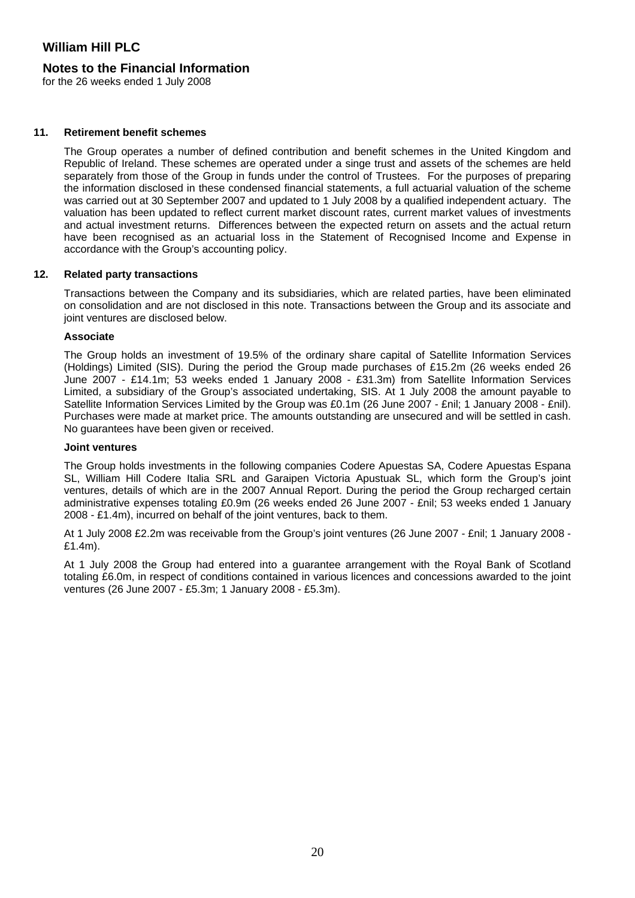### **Notes to the Financial Information**

for the 26 weeks ended 1 July 2008

#### **11. Retirement benefit schemes**

The Group operates a number of defined contribution and benefit schemes in the United Kingdom and Republic of Ireland. These schemes are operated under a singe trust and assets of the schemes are held separately from those of the Group in funds under the control of Trustees. For the purposes of preparing the information disclosed in these condensed financial statements, a full actuarial valuation of the scheme was carried out at 30 September 2007 and updated to 1 July 2008 by a qualified independent actuary. The valuation has been updated to reflect current market discount rates, current market values of investments and actual investment returns. Differences between the expected return on assets and the actual return have been recognised as an actuarial loss in the Statement of Recognised Income and Expense in accordance with the Group's accounting policy.

#### **12. Related party transactions**

Transactions between the Company and its subsidiaries, which are related parties, have been eliminated on consolidation and are not disclosed in this note. Transactions between the Group and its associate and joint ventures are disclosed below.

#### **Associate**

The Group holds an investment of 19.5% of the ordinary share capital of Satellite Information Services (Holdings) Limited (SIS). During the period the Group made purchases of £15.2m (26 weeks ended 26 June 2007 - £14.1m; 53 weeks ended 1 January 2008 - £31.3m) from Satellite Information Services Limited, a subsidiary of the Group's associated undertaking, SIS. At 1 July 2008 the amount payable to Satellite Information Services Limited by the Group was £0.1m (26 June 2007 - £nil; 1 January 2008 - £nil). Purchases were made at market price. The amounts outstanding are unsecured and will be settled in cash. No guarantees have been given or received.

#### **Joint ventures**

The Group holds investments in the following companies Codere Apuestas SA, Codere Apuestas Espana SL, William Hill Codere Italia SRL and Garaipen Victoria Apustuak SL, which form the Group's joint ventures, details of which are in the 2007 Annual Report. During the period the Group recharged certain administrative expenses totaling £0.9m (26 weeks ended 26 June 2007 - £nil; 53 weeks ended 1 January 2008 - £1.4m), incurred on behalf of the joint ventures, back to them.

At 1 July 2008 £2.2m was receivable from the Group's joint ventures (26 June 2007 - £nil; 1 January 2008 - £1.4m).

At 1 July 2008 the Group had entered into a guarantee arrangement with the Royal Bank of Scotland totaling £6.0m, in respect of conditions contained in various licences and concessions awarded to the joint ventures (26 June 2007 - £5.3m; 1 January 2008 - £5.3m).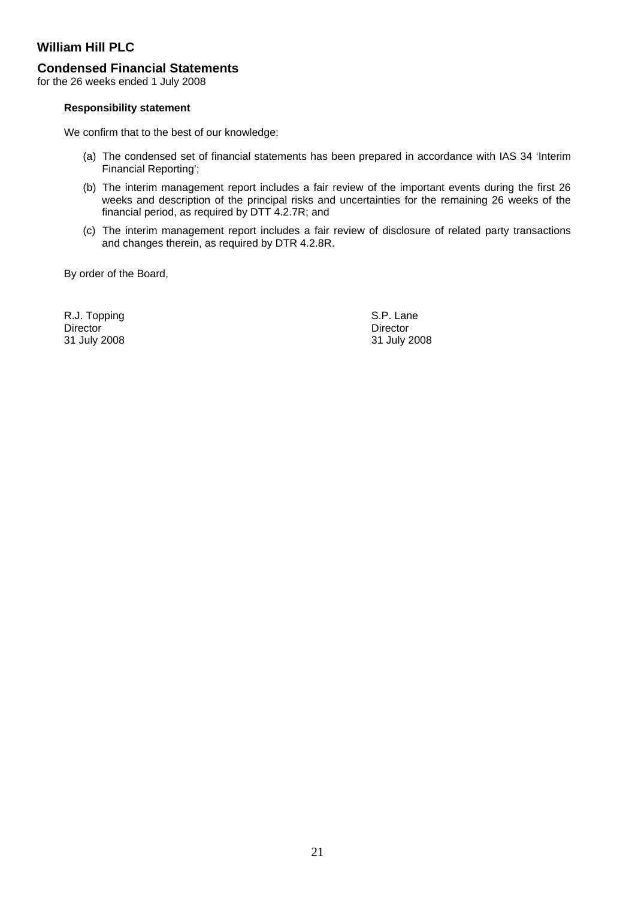### **Condensed Financial Statements**

for the 26 weeks ended 1 July 2008

#### **Responsibility statement**

We confirm that to the best of our knowledge:

- (a) The condensed set of financial statements has been prepared in accordance with IAS 34 'Interim Financial Reporting';
- (b) The interim management report includes a fair review of the important events during the first 26 weeks and description of the principal risks and uncertainties for the remaining 26 weeks of the financial period, as required by DTT 4.2.7R; and
- (c) The interim management report includes a fair review of disclosure of related party transactions and changes therein, as required by DTR 4.2.8R.

By order of the Board,

R.J. Topping S.P. Lane Director Director Director Director Director Director Director 21 July 2008

31 July 2008 31 July 2008